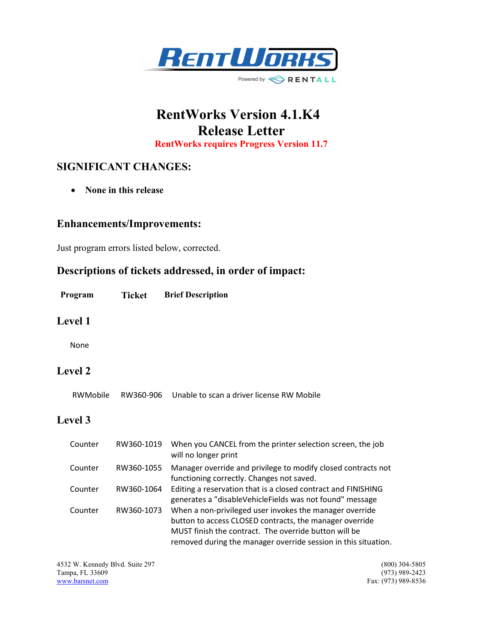

# RentWorks Version 4.1.K4 Release Letter

RentWorks requires Progress Version 11.7

# SIGNIFICANT CHANGES:

• None in this release

#### Enhancements/Improvements:

Just program errors listed below, corrected.

## Descriptions of tickets addressed, in order of impact:

| Program | Ticket | <b>Brief Description</b> |
|---------|--------|--------------------------|
|---------|--------|--------------------------|

#### Level 1

None

## Level 2

RWMobile RW360-906 Unable to scan a driver license RW Mobile

### Level 3

| Counter | RW360-1019 | When you CANCEL from the printer selection screen, the job<br>will no longer print                                                                                                                                                            |
|---------|------------|-----------------------------------------------------------------------------------------------------------------------------------------------------------------------------------------------------------------------------------------------|
| Counter | RW360-1055 | Manager override and privilege to modify closed contracts not<br>functioning correctly. Changes not saved.                                                                                                                                    |
| Counter | RW360-1064 | Editing a reservation that is a closed contract and FINISHING<br>generates a "disableVehicleFields was not found" message                                                                                                                     |
| Counter | RW360-1073 | When a non-privileged user invokes the manager override<br>button to access CLOSED contracts, the manager override<br>MUST finish the contract. The override button will be<br>removed during the manager override session in this situation. |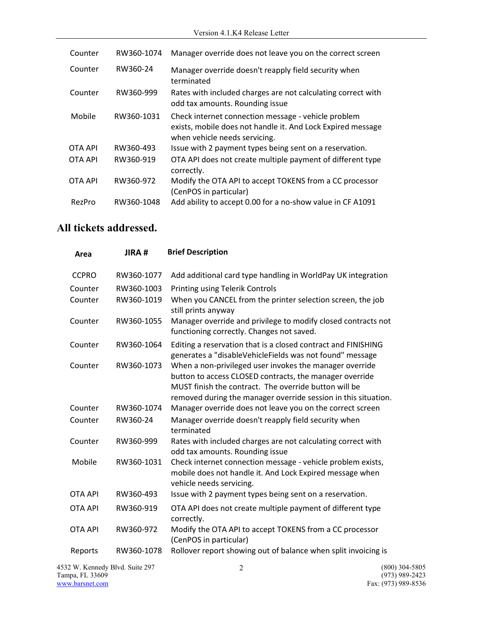| Counter        | RW360-1074 | Manager override does not leave you on the correct screen                                                                                           |
|----------------|------------|-----------------------------------------------------------------------------------------------------------------------------------------------------|
| Counter        | RW360-24   | Manager override doesn't reapply field security when<br>terminated                                                                                  |
| Counter        | RW360-999  | Rates with included charges are not calculating correct with<br>odd tax amounts. Rounding issue                                                     |
| Mobile         | RW360-1031 | Check internet connection message - vehicle problem<br>exists, mobile does not handle it. And Lock Expired message<br>when vehicle needs servicing. |
| OTA API        | RW360-493  | Issue with 2 payment types being sent on a reservation.                                                                                             |
| <b>OTA API</b> | RW360-919  | OTA API does not create multiple payment of different type<br>correctly.                                                                            |
| <b>OTA API</b> | RW360-972  | Modify the OTA API to accept TOKENS from a CC processor<br>(CenPOS in particular)                                                                   |
| RezPro         | RW360-1048 | Add ability to accept 0.00 for a no-show value in CF A1091                                                                                          |

# All tickets addressed.

| Area           | JIRA#      | <b>Brief Description</b>                                                                                                                                                                                                                      |
|----------------|------------|-----------------------------------------------------------------------------------------------------------------------------------------------------------------------------------------------------------------------------------------------|
| <b>CCPRO</b>   | RW360-1077 | Add additional card type handling in WorldPay UK integration                                                                                                                                                                                  |
| Counter        | RW360-1003 | <b>Printing using Telerik Controls</b>                                                                                                                                                                                                        |
| Counter        | RW360-1019 | When you CANCEL from the printer selection screen, the job<br>still prints anyway                                                                                                                                                             |
| Counter        | RW360-1055 | Manager override and privilege to modify closed contracts not<br>functioning correctly. Changes not saved.                                                                                                                                    |
| Counter        | RW360-1064 | Editing a reservation that is a closed contract and FINISHING<br>generates a "disableVehicleFields was not found" message                                                                                                                     |
| Counter        | RW360-1073 | When a non-privileged user invokes the manager override<br>button to access CLOSED contracts, the manager override<br>MUST finish the contract. The override button will be<br>removed during the manager override session in this situation. |
| Counter        | RW360-1074 | Manager override does not leave you on the correct screen                                                                                                                                                                                     |
| Counter        | RW360-24   | Manager override doesn't reapply field security when<br>terminated                                                                                                                                                                            |
| Counter        | RW360-999  | Rates with included charges are not calculating correct with<br>odd tax amounts. Rounding issue                                                                                                                                               |
| Mobile         | RW360-1031 | Check internet connection message - vehicle problem exists,<br>mobile does not handle it. And Lock Expired message when<br>vehicle needs servicing.                                                                                           |
| <b>OTA API</b> | RW360-493  | Issue with 2 payment types being sent on a reservation.                                                                                                                                                                                       |
| <b>OTA API</b> | RW360-919  | OTA API does not create multiple payment of different type<br>correctly.                                                                                                                                                                      |
| <b>OTA API</b> | RW360-972  | Modify the OTA API to accept TOKENS from a CC processor<br>(CenPOS in particular)                                                                                                                                                             |
| Reports        | RW360-1078 | Rollover report showing out of balance when split invoicing is                                                                                                                                                                                |

4532 W. Kennedy Blvd. Suite 297 2 (800) 304-5805<br>
Tampa, FL 33609 (973) 989-2423 Tampa, FL 33609<br>www.barsnet.com